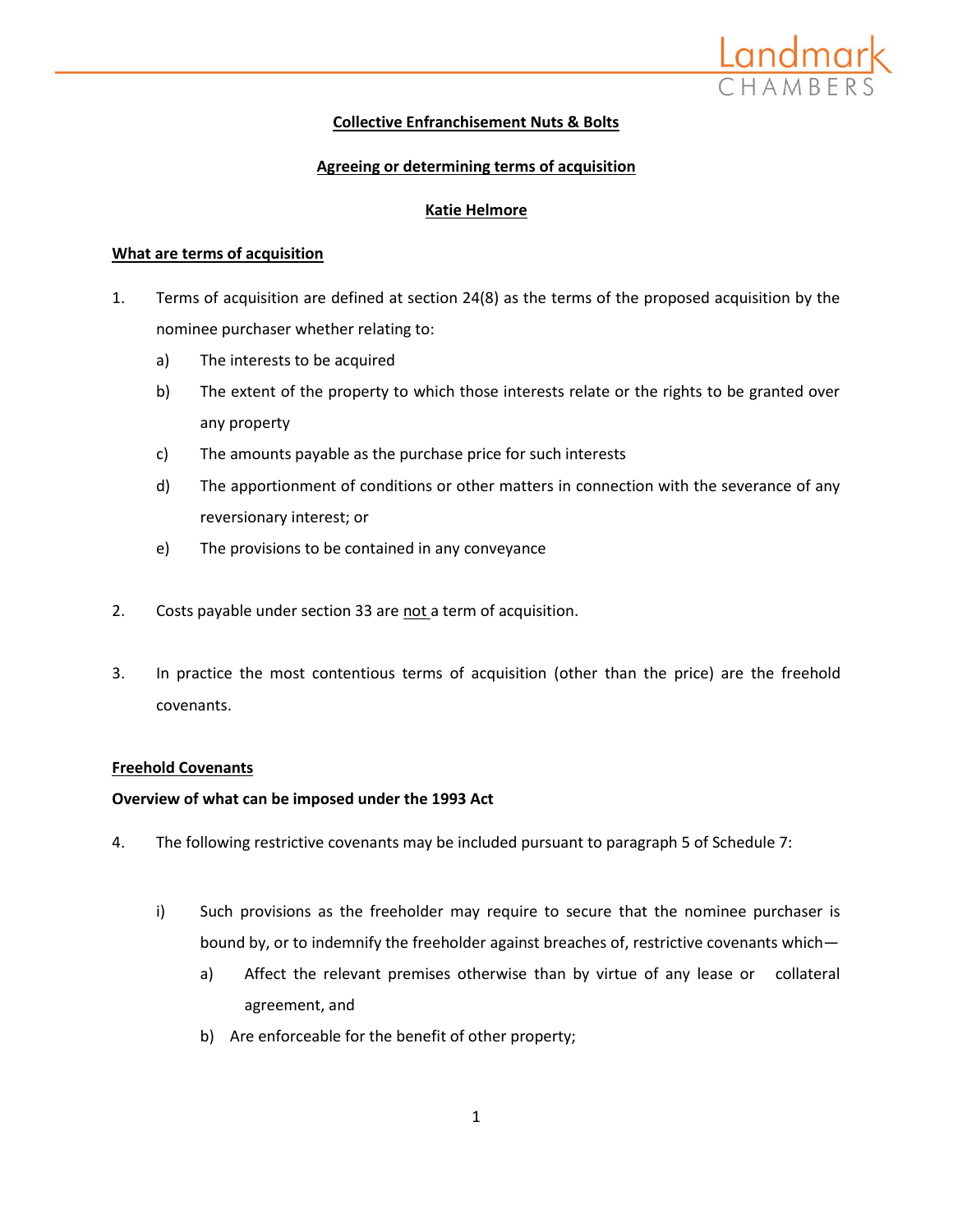

# **Collective Enfranchisement Nuts & Bolts**

# **Agreeing or determining terms of acquisition**

## **Katie Helmore**

## **What are terms of acquisition**

- 1. Terms of acquisition are defined at section 24(8) as the terms of the proposed acquisition by the nominee purchaser whether relating to:
	- a) The interests to be acquired
	- b) The extent of the property to which those interests relate or the rights to be granted over any property
	- c) The amounts payable as the purchase price for such interests
	- d) The apportionment of conditions or other matters in connection with the severance of any reversionary interest; or
	- e) The provisions to be contained in any conveyance
- 2. Costs payable under section 33 are not a term of acquisition.
- 3. In practice the most contentious terms of acquisition (other than the price) are the freehold covenants.

## **Freehold Covenants**

## **Overview of what can be imposed under the 1993 Act**

- 4. The following restrictive covenants may be included pursuant to paragraph 5 of Schedule 7:
	- i) Such provisions as the freeholder may require to secure that the nominee purchaser is bound by, or to indemnify the freeholder against breaches of, restrictive covenants which
		- a) Affect the relevant premises otherwise than by virtue of any lease or collateral agreement, and
		- b) Are enforceable for the benefit of other property;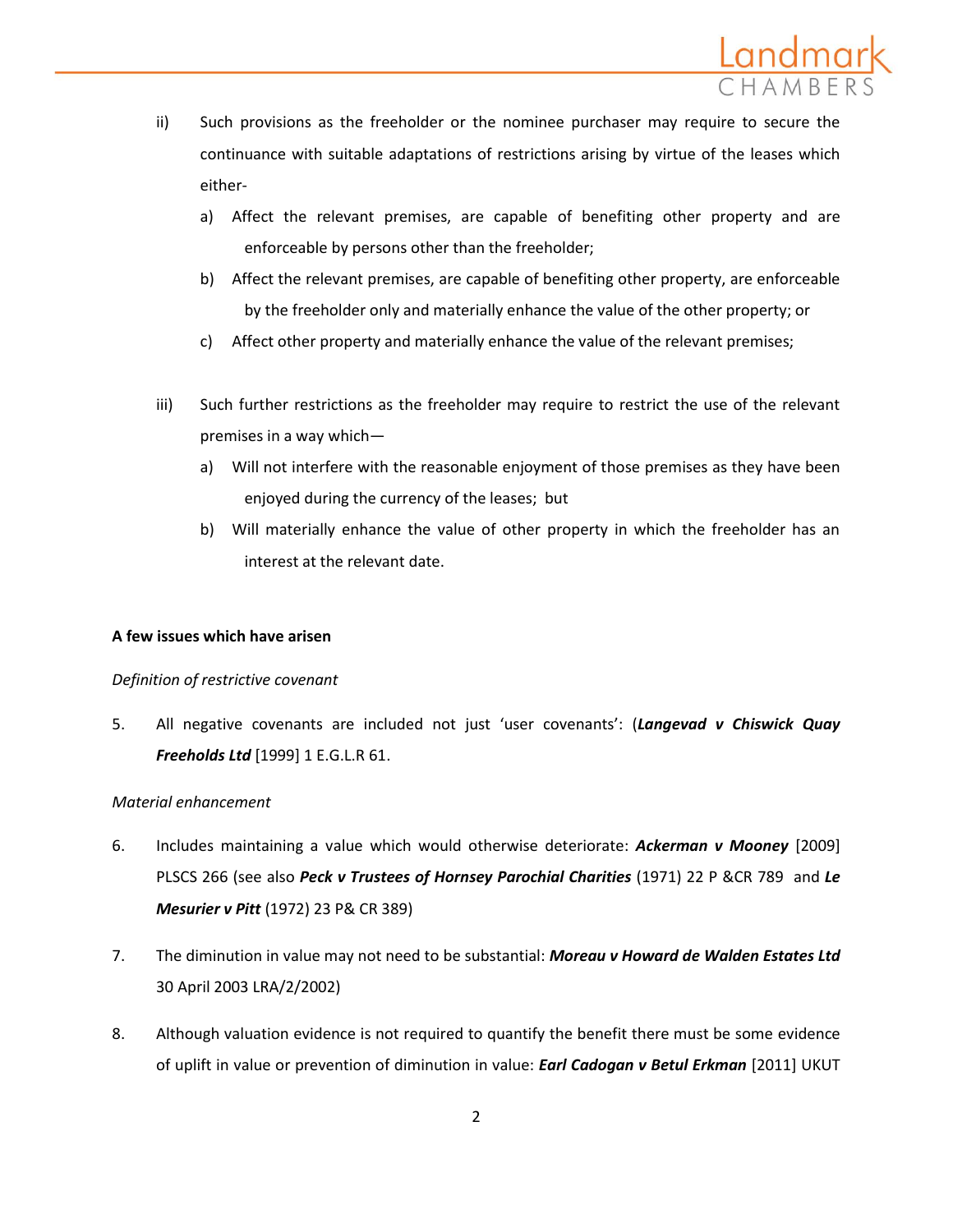

- ii) Such provisions as the freeholder or the nominee purchaser may require to secure the continuance with suitable adaptations of restrictions arising by virtue of the leases which either
	- a) Affect the relevant premises, are capable of benefiting other property and are enforceable by persons other than the freeholder;
	- b) Affect the relevant premises, are capable of benefiting other property, are enforceable by the freeholder only and materially enhance the value of the other property; or
	- c) Affect other property and materially enhance the value of the relevant premises;
- iii) Such further restrictions as the freeholder may require to restrict the use of the relevant premises in a way which
	- a) Will not interfere with the reasonable enjoyment of those premises as they have been enjoyed during the currency of the leases; but
	- b) Will materially enhance the value of other property in which the freeholder has an interest at the relevant date.

## **A few issues which have arisen**

## *Definition of restrictive covenant*

5. All negative covenants are included not just 'user covenants': (*Langevad v Chiswick Quay Freeholds Ltd* [1999] 1 E.G.L.R 61.

## *Material enhancement*

- 6. Includes maintaining a value which would otherwise deteriorate: *Ackerman v Mooney* [2009] PLSCS 266 (see also *Peck v Trustees of Hornsey Parochial Charities* (1971) 22 P &CR 789 and *Le Mesurier v Pitt* (1972) 23 P& CR 389)
- 7. The diminution in value may not need to be substantial: *Moreau v Howard de Walden Estates Ltd* 30 April 2003 LRA/2/2002)
- 8. Although valuation evidence is not required to quantify the benefit there must be some evidence of uplift in value or prevention of diminution in value: *Earl Cadogan v Betul Erkman* [2011] UKUT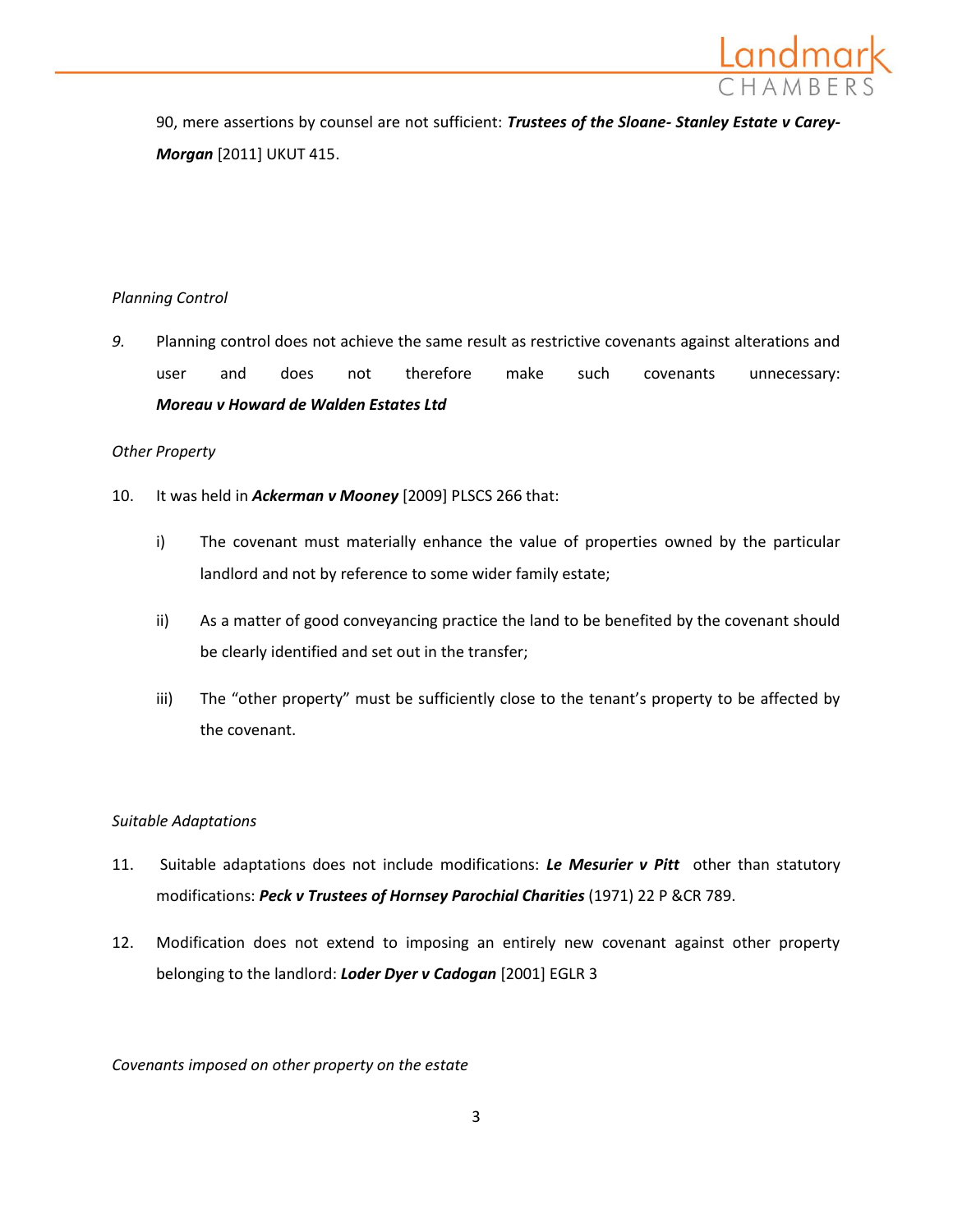

90, mere assertions by counsel are not sufficient: *Trustees of the Sloane- Stanley Estate v Carey-Morgan* [2011] UKUT 415.

# *Planning Control*

*9.* Planning control does not achieve the same result as restrictive covenants against alterations and user and does not therefore make such covenants unnecessary: *Moreau v Howard de Walden Estates Ltd*

## *Other Property*

- 10. It was held in *Ackerman v Mooney* [2009] PLSCS 266 that:
	- i) The covenant must materially enhance the value of properties owned by the particular landlord and not by reference to some wider family estate;
	- ii) As a matter of good conveyancing practice the land to be benefited by the covenant should be clearly identified and set out in the transfer;
	- iii) The "other property" must be sufficiently close to the tenant's property to be affected by the covenant.

# *Suitable Adaptations*

- 11. Suitable adaptations does not include modifications: *Le Mesurier v Pitt* other than statutory modifications: *Peck v Trustees of Hornsey Parochial Charities* (1971) 22 P &CR 789.
- 12. Modification does not extend to imposing an entirely new covenant against other property belonging to the landlord: *Loder Dyer v Cadogan* [2001] EGLR 3

*Covenants imposed on other property on the estate*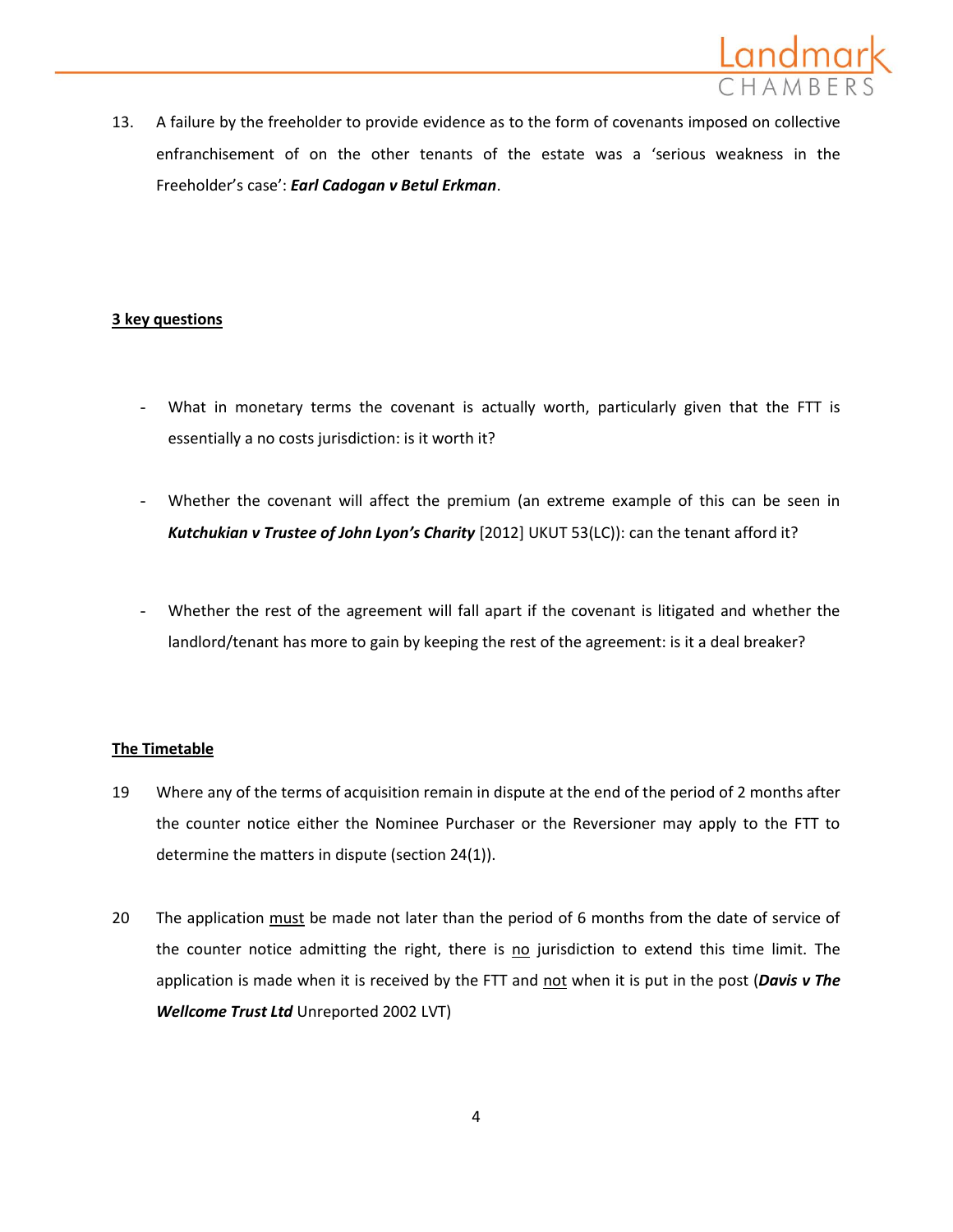

13. A failure by the freeholder to provide evidence as to the form of covenants imposed on collective enfranchisement of on the other tenants of the estate was a 'serious weakness in the Freeholder's case': *Earl Cadogan v Betul Erkman*.

## **3 key questions**

- What in monetary terms the covenant is actually worth, particularly given that the FTT is essentially a no costs jurisdiction: is it worth it?
- Whether the covenant will affect the premium (an extreme example of this can be seen in *Kutchukian v Trustee of John Lyon's Charity* [2012] UKUT 53(LC)): can the tenant afford it?
- Whether the rest of the agreement will fall apart if the covenant is litigated and whether the landlord/tenant has more to gain by keeping the rest of the agreement: is it a deal breaker?

# **The Timetable**

- 19 Where any of the terms of acquisition remain in dispute at the end of the period of 2 months after the counter notice either the Nominee Purchaser or the Reversioner may apply to the FTT to determine the matters in dispute (section 24(1)).
- 20 The application must be made not later than the period of 6 months from the date of service of the counter notice admitting the right, there is no jurisdiction to extend this time limit. The application is made when it is received by the FTT and not when it is put in the post (*Davis v The Wellcome Trust Ltd* Unreported 2002 LVT)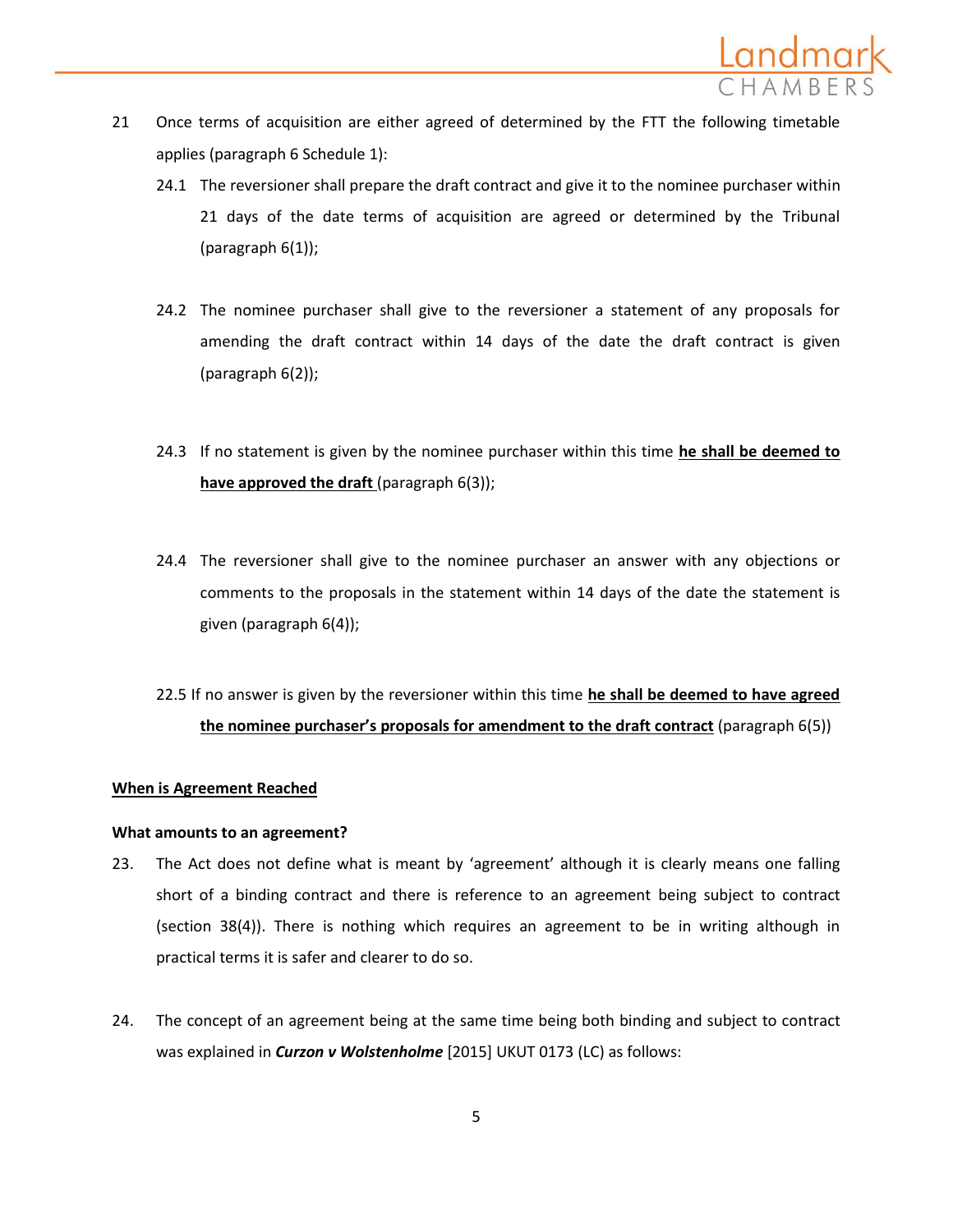

- 21 Once terms of acquisition are either agreed of determined by the FTT the following timetable applies (paragraph 6 Schedule 1):
	- 24.1 The reversioner shall prepare the draft contract and give it to the nominee purchaser within 21 days of the date terms of acquisition are agreed or determined by the Tribunal (paragraph 6(1));
	- 24.2 The nominee purchaser shall give to the reversioner a statement of any proposals for amending the draft contract within 14 days of the date the draft contract is given (paragraph 6(2));
	- 24.3 If no statement is given by the nominee purchaser within this time **he shall be deemed to have approved the draft** (paragraph 6(3));
	- 24.4 The reversioner shall give to the nominee purchaser an answer with any objections or comments to the proposals in the statement within 14 days of the date the statement is given (paragraph 6(4));
	- 22.5 If no answer is given by the reversioner within this time **he shall be deemed to have agreed the nominee purchaser's proposals for amendment to the draft contract** (paragraph 6(5))

## **When is Agreement Reached**

#### **What amounts to an agreement?**

- 23. The Act does not define what is meant by 'agreement' although it is clearly means one falling short of a binding contract and there is reference to an agreement being subject to contract (section 38(4)). There is nothing which requires an agreement to be in writing although in practical terms it is safer and clearer to do so.
- 24. The concept of an agreement being at the same time being both binding and subject to contract was explained in *Curzon v Wolstenholme* [2015] UKUT 0173 (LC) as follows: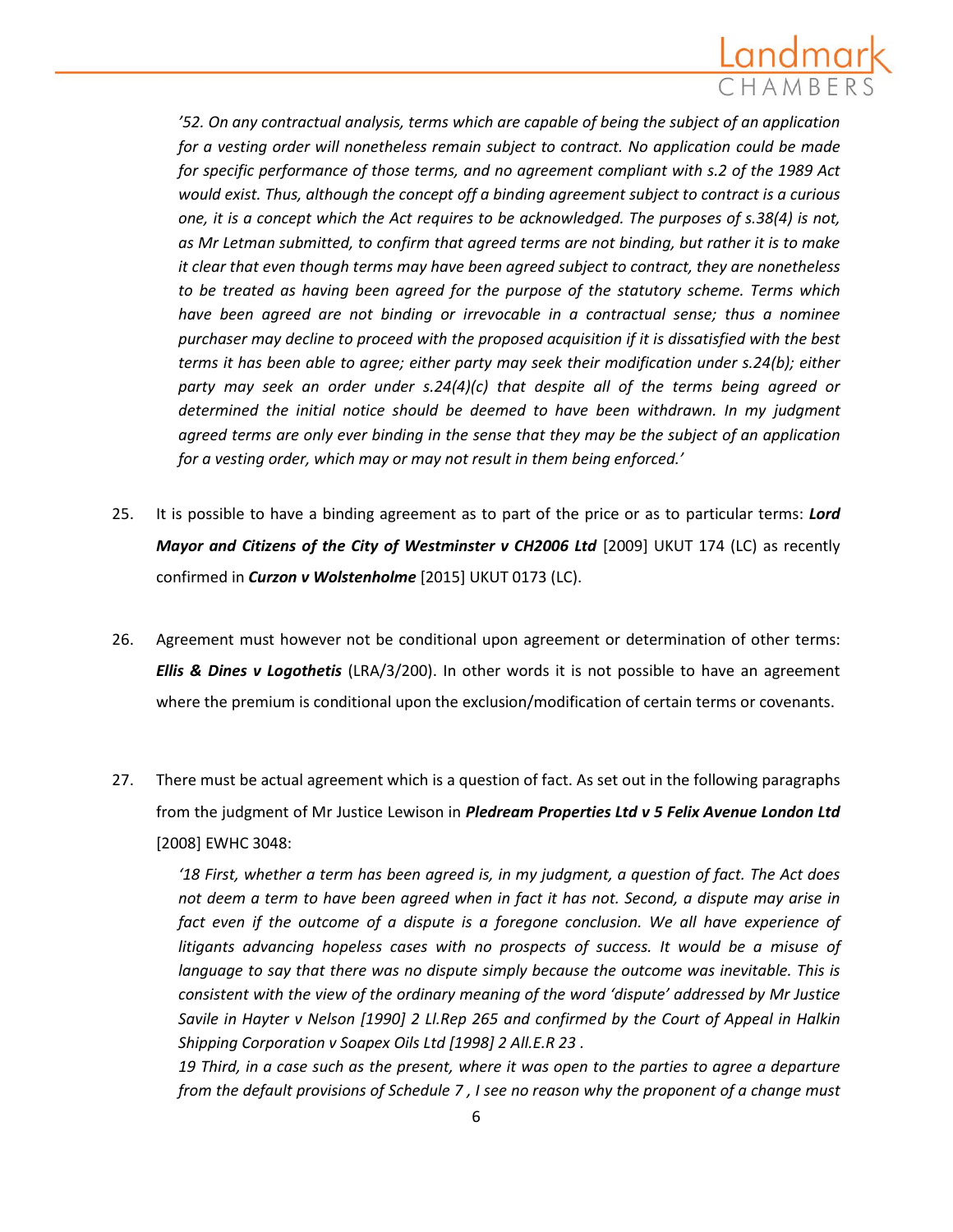

*'52. On any contractual analysis, terms which are capable of being the subject of an application for a vesting order will nonetheless remain subject to contract. No application could be made for specific performance of those terms, and no agreement compliant with s.2 of the 1989 Act would exist. Thus, although the concept off a binding agreement subject to contract is a curious one, it is a concept which the Act requires to be acknowledged. The purposes of s.38(4) is not, as Mr Letman submitted, to confirm that agreed terms are not binding, but rather it is to make it clear that even though terms may have been agreed subject to contract, they are nonetheless to be treated as having been agreed for the purpose of the statutory scheme. Terms which have been agreed are not binding or irrevocable in a contractual sense; thus a nominee purchaser may decline to proceed with the proposed acquisition if it is dissatisfied with the best terms it has been able to agree; either party may seek their modification under s.24(b); either party may seek an order under s.24(4)(c) that despite all of the terms being agreed or determined the initial notice should be deemed to have been withdrawn. In my judgment agreed terms are only ever binding in the sense that they may be the subject of an application for a vesting order, which may or may not result in them being enforced.'*

- 25. It is possible to have a binding agreement as to part of the price or as to particular terms: *Lord Mayor and Citizens of the City of Westminster v CH2006 Ltd* [2009] UKUT 174 (LC) as recently confirmed in *Curzon v Wolstenholme* [2015] UKUT 0173 (LC).
- 26. Agreement must however not be conditional upon agreement or determination of other terms: *Ellis & Dines v Logothetis* (LRA/3/200). In other words it is not possible to have an agreement where the premium is conditional upon the exclusion/modification of certain terms or covenants.
- 27. There must be actual agreement which is a question of fact. As set out in the following paragraphs from the judgment of Mr Justice Lewison in *Pledream Properties Ltd v 5 Felix Avenue London Ltd* [2008] EWHC 3048:

*'18 First, whether a term has been agreed is, in my judgment, a question of fact. The Act does not deem a term to have been agreed when in fact it has not. Second, a dispute may arise in*  fact even if the outcome of a dispute is a foregone conclusion. We all have experience of *litigants advancing hopeless cases with no prospects of success. It would be a misuse of language to say that there was no dispute simply because the outcome was inevitable. This is consistent with the view of the ordinary meaning of the word 'dispute' addressed by Mr Justice Savile in Hayter v Nelson [1990] 2 Ll.Rep 265 and confirmed by the [Court of Appeal in Halkin](http://login.westlaw.co.uk/maf/wluk/app/document?src=doc&linktype=ref&context=45&crumb-action=replace&docguid=IB8DD0180E42711DA8FC2A0F0355337E9)  [Shipping Corporation v Soapex Oils Ltd \[1998\] 2 All.E.R 23](http://login.westlaw.co.uk/maf/wluk/app/document?src=doc&linktype=ref&context=45&crumb-action=replace&docguid=IB8DD0180E42711DA8FC2A0F0355337E9) .*

*19 Third, in a case such as the present, where it was open to the parties to agree a departure from the default provisions of [Schedule 7](http://login.westlaw.co.uk/maf/wluk/app/document?src=doc&linktype=ref&context=45&crumb-action=replace&docguid=I5FD45470E42311DAA7CF8F68F6EE57AB) , I see no reason why the proponent of a change must*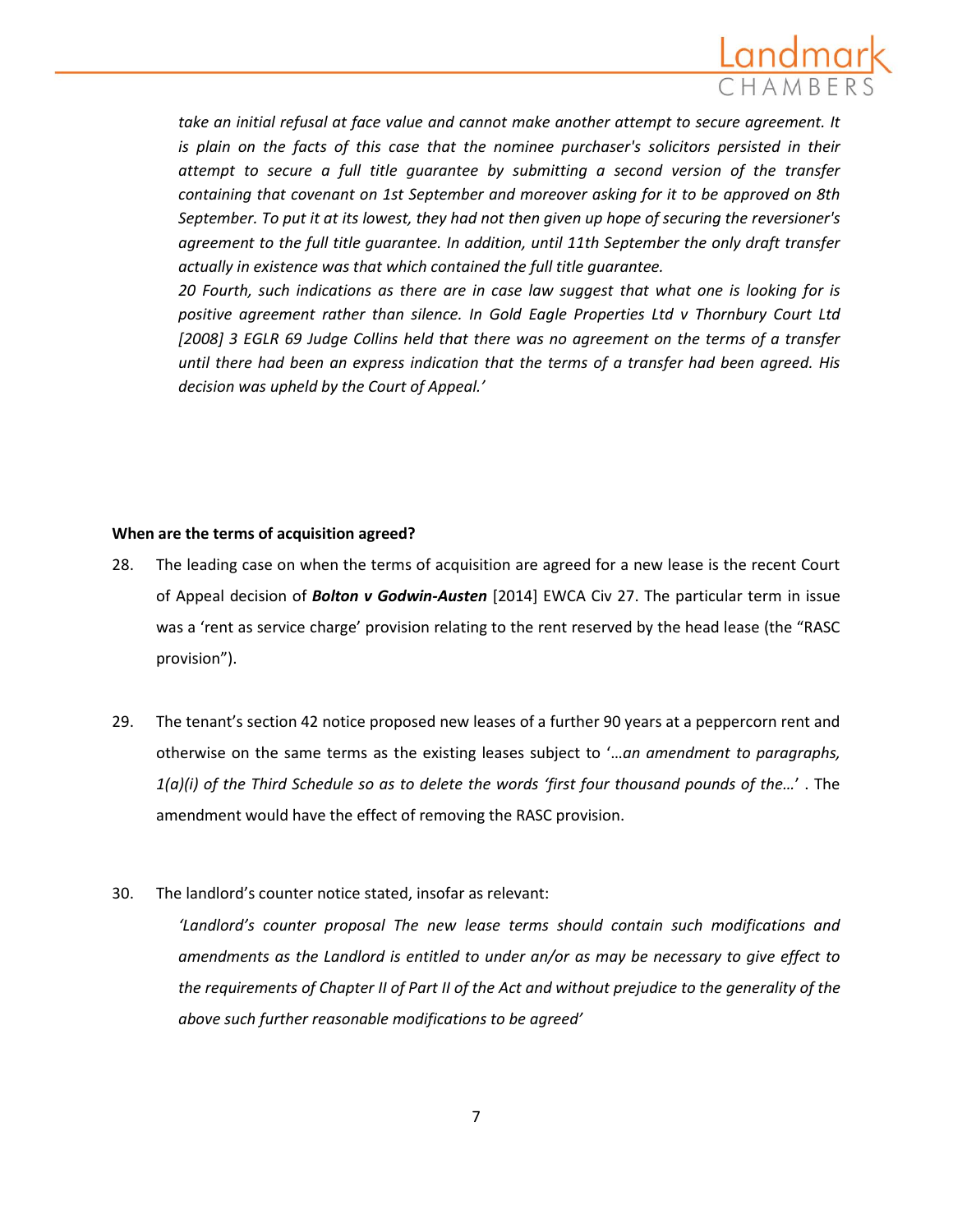

*take an initial refusal at face value and cannot make another attempt to secure agreement. It is plain on the facts of this case that the nominee purchaser's solicitors persisted in their attempt to secure a full title guarantee by submitting a second version of the transfer containing that covenant on 1st September and moreover asking for it to be approved on 8th September. To put it at its lowest, they had not then given up hope of securing the reversioner's agreement to the full title guarantee. In addition, until 11th September the only draft transfer actually in existence was that which contained the full title guarantee.* 

*20 Fourth, such indications as there are in case law suggest that what one is looking for is positive agreement rather than silence. In [Gold Eagle Properties Ltd v Thornbury Court Ltd](http://login.westlaw.co.uk/maf/wluk/app/document?src=doc&linktype=ref&context=45&crumb-action=replace&docguid=I119421305AD411DDA2F2CB2C370A69A4)  [\[2008\] 3 EGLR 69](http://login.westlaw.co.uk/maf/wluk/app/document?src=doc&linktype=ref&context=45&crumb-action=replace&docguid=I119421305AD411DDA2F2CB2C370A69A4) Judge Collins held that there was no agreement on the terms of a transfer until there had been an express indication that the terms of a transfer had been agreed. His decision was upheld by the Court of Appeal.'* 

## **When are the terms of acquisition agreed?**

- 28. The leading case on when the terms of acquisition are agreed for a new lease is the recent Court of Appeal decision of *Bolton v Godwin-Austen* [2014] EWCA Civ 27. The particular term in issue was a 'rent as service charge' provision relating to the rent reserved by the head lease (the "RASC provision").
- 29. The tenant's section 42 notice proposed new leases of a further 90 years at a peppercorn rent and otherwise on the same terms as the existing leases subject to '…*an amendment to paragraphs, 1(a)(i) of the Third Schedule so as to delete the words 'first four thousand pounds of the…*' . The amendment would have the effect of removing the RASC provision.
- 30. The landlord's counter notice stated, insofar as relevant:

*'Landlord's counter proposal The new lease terms should contain such modifications and amendments as the Landlord is entitled to under an/or as may be necessary to give effect to the requirements of Chapter II of Part II of the Act and without prejudice to the generality of the above such further reasonable modifications to be agreed'*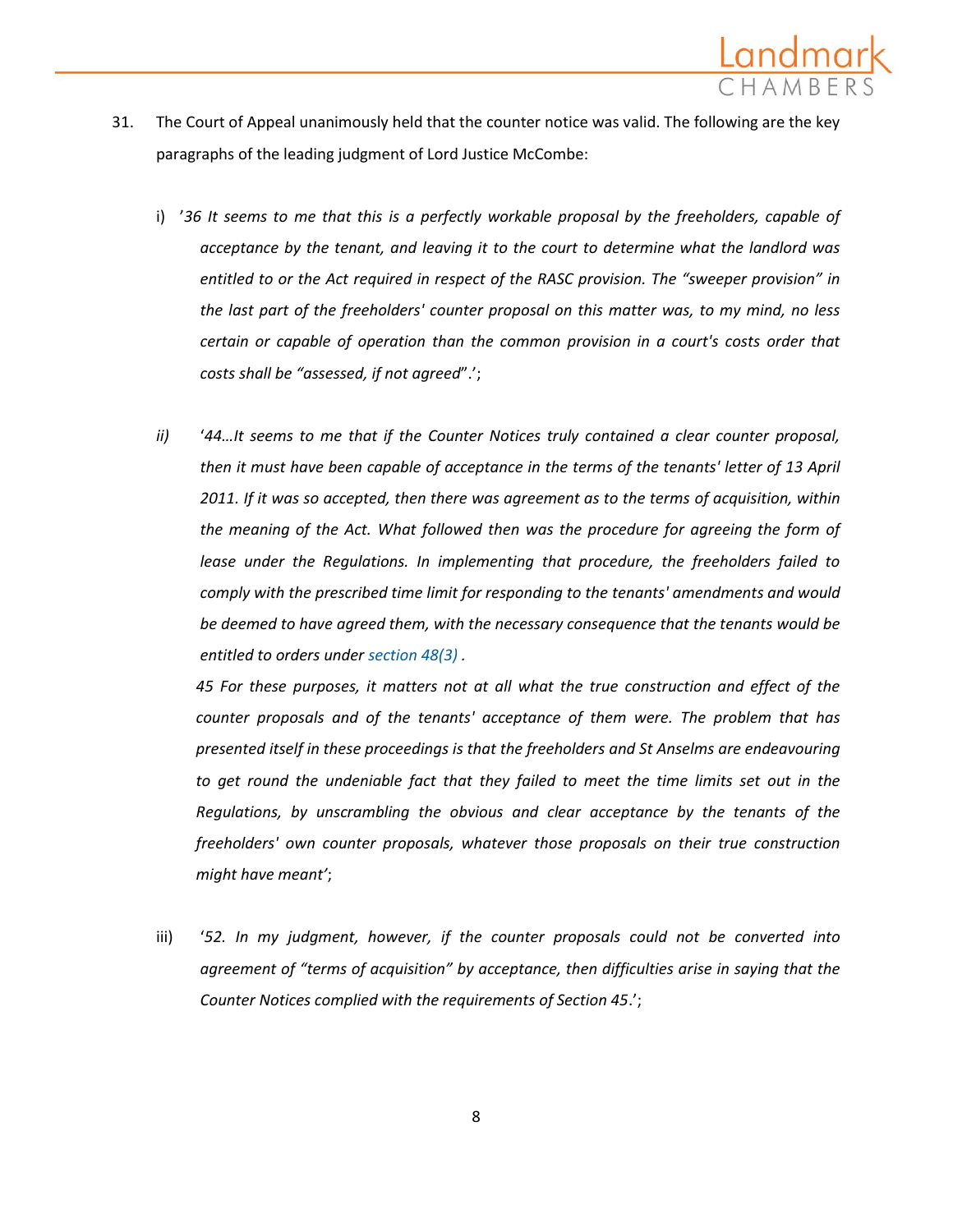

- 31. The Court of Appeal unanimously held that the counter notice was valid. The following are the key paragraphs of the leading judgment of Lord Justice McCombe:
	- i) '*36 It seems to me that this is a perfectly workable proposal by the freeholders, capable of acceptance by the tenant, and leaving it to the court to determine what the landlord was entitled to or the Act required in respect of the RASC provision. The "sweeper provision" in the last part of the freeholders' counter proposal on this matter was, to my mind, no less certain or capable of operation than the common provision in a court's costs order that costs shall be "assessed, if not agreed*".';
	- *ii)* '*44…It seems to me that if the Counter Notices truly contained a clear counter proposal, then it must have been capable of acceptance in the terms of the tenants' letter of 13 April 2011. If it was so accepted, then there was agreement as to the terms of acquisition, within*  the meaning of the Act. What followed then was the procedure for agreeing the form of *lease under the Regulations. In implementing that procedure, the freeholders failed to comply with the prescribed time limit for responding to the tenants' amendments and would be deemed to have agreed them, with the necessary consequence that the tenants would be entitled to orders unde[r section 48\(3\)](http://login.westlaw.co.uk/maf/wluk/app/document?src=doc&linktype=ref&context=34&crumb-action=replace&docguid=I3B2BEC80E44D11DA8D70A0E70A78ED65) .*

*45 For these purposes, it matters not at all what the true construction and effect of the counter proposals and of the tenants' acceptance of them were. The problem that has presented itself in these proceedings is that the freeholders and St Anselms are endeavouring to get round the undeniable fact that they failed to meet the time limits set out in the Regulations, by unscrambling the obvious and clear acceptance by the tenants of the freeholders' own counter proposals, whatever those proposals on their true construction might have meant'*;

iii) '*52. In my judgment, however, if the counter proposals could not be converted into agreement of "terms of acquisition" by acceptance, then difficulties arise in saying that the Counter Notices complied with the requirements of Section 45*.';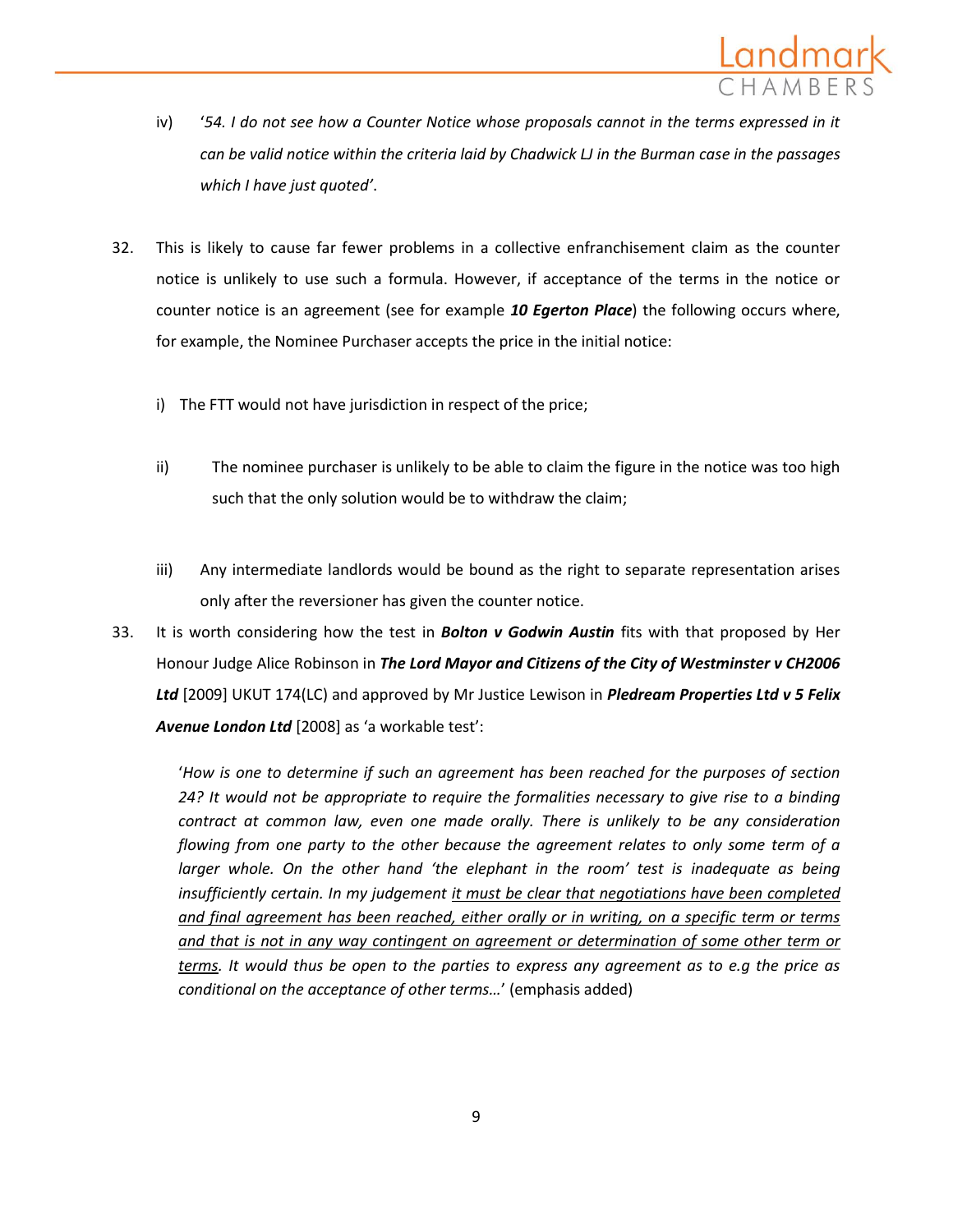

- iv) '*54. I do not see how a Counter Notice whose proposals cannot in the terms expressed in it can be valid notice within the criteria laid by Chadwick LJ in the Burman case in the passages which I have just quoted'*.
- 32. This is likely to cause far fewer problems in a collective enfranchisement claim as the counter notice is unlikely to use such a formula. However, if acceptance of the terms in the notice or counter notice is an agreement (see for example *10 Egerton Place*) the following occurs where, for example, the Nominee Purchaser accepts the price in the initial notice:
	- i) The FTT would not have jurisdiction in respect of the price;
	- ii) The nominee purchaser is unlikely to be able to claim the figure in the notice was too high such that the only solution would be to withdraw the claim;
	- iii) Any intermediate landlords would be bound as the right to separate representation arises only after the reversioner has given the counter notice.
- 33. It is worth considering how the test in *Bolton v Godwin Austin* fits with that proposed by Her Honour Judge Alice Robinson in *The Lord Mayor and Citizens of the City of Westminster v CH2006 Ltd* [2009] UKUT 174(LC) and approved by Mr Justice Lewison in *Pledream Properties Ltd v 5 Felix Avenue London Ltd* [2008] as 'a workable test':

'*How is one to determine if such an agreement has been reached for the purposes of section 24? It would not be appropriate to require the formalities necessary to give rise to a binding contract at common law, even one made orally. There is unlikely to be any consideration flowing from one party to the other because the agreement relates to only some term of a larger whole. On the other hand 'the elephant in the room' test is inadequate as being insufficiently certain. In my judgement it must be clear that negotiations have been completed and final agreement has been reached, either orally or in writing, on a specific term or terms and that is not in any way contingent on agreement or determination of some other term or terms. It would thus be open to the parties to express any agreement as to e.g the price as conditional on the acceptance of other terms…*' (emphasis added)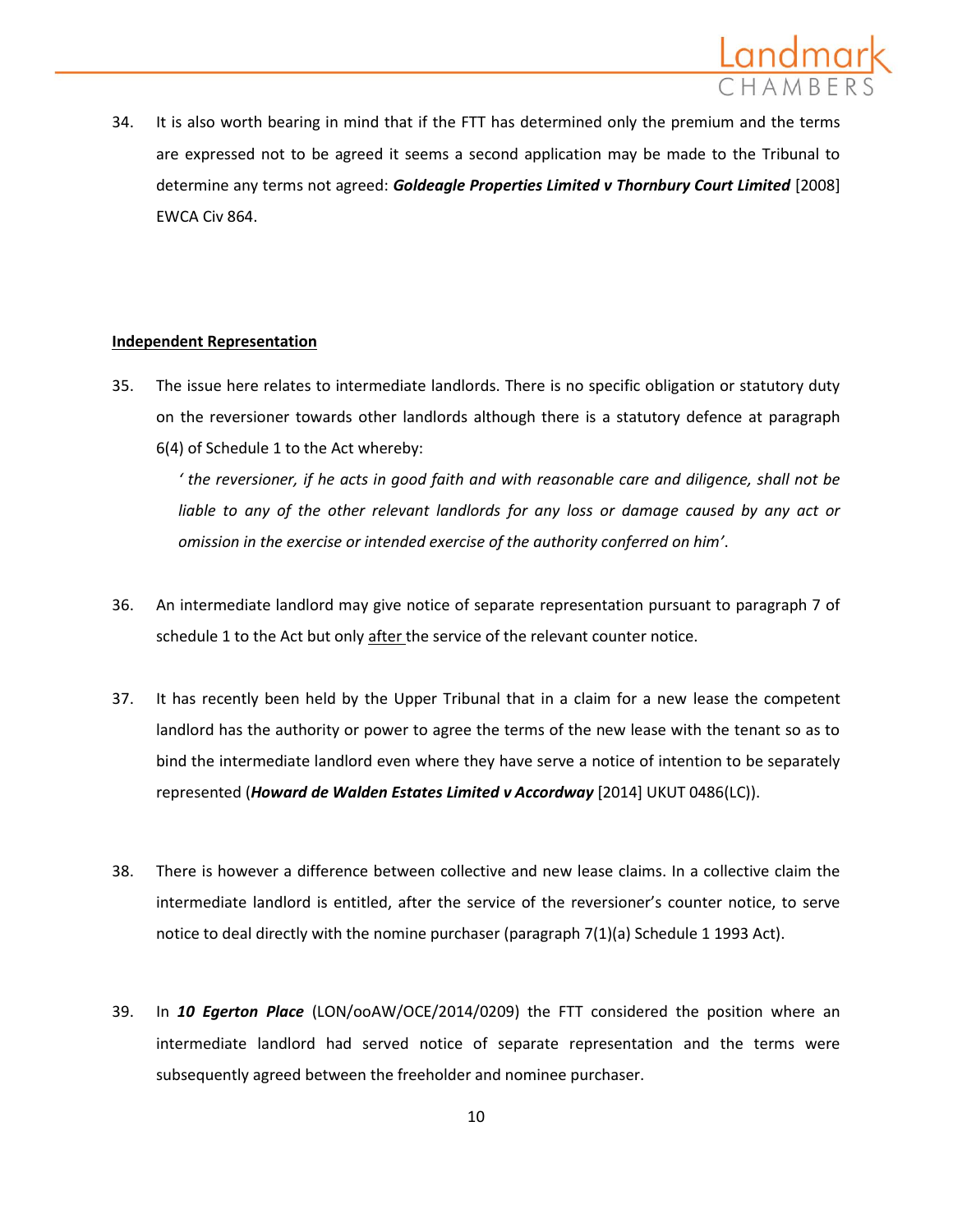

34. It is also worth bearing in mind that if the FTT has determined only the premium and the terms are expressed not to be agreed it seems a second application may be made to the Tribunal to determine any terms not agreed: *Goldeagle Properties Limited v Thornbury Court Limited* [2008] EWCA Civ 864.

## **Independent Representation**

35. The issue here relates to intermediate landlords. There is no specific obligation or statutory duty on the reversioner towards other landlords although there is a statutory defence at paragraph 6(4) of Schedule 1 to the Act whereby:

*' the reversioner, if he acts in good faith and with reasonable care and diligence, shall not be*  liable to any of the other relevant landlords for any loss or damage caused by any act or *omission in the exercise or intended exercise of the authority conferred on him'*.

- 36. An intermediate landlord may give notice of separate representation pursuant to paragraph 7 of schedule 1 to the Act but only after the service of the relevant counter notice.
- 37. It has recently been held by the Upper Tribunal that in a claim for a new lease the competent landlord has the authority or power to agree the terms of the new lease with the tenant so as to bind the intermediate landlord even where they have serve a notice of intention to be separately represented (*Howard de Walden Estates Limited v Accordway* [2014] UKUT 0486(LC)).
- 38. There is however a difference between collective and new lease claims. In a collective claim the intermediate landlord is entitled, after the service of the reversioner's counter notice, to serve notice to deal directly with the nomine purchaser (paragraph 7(1)(a) Schedule 1 1993 Act).
- 39. In *10 Egerton Place* (LON/ooAW/OCE/2014/0209) the FTT considered the position where an intermediate landlord had served notice of separate representation and the terms were subsequently agreed between the freeholder and nominee purchaser.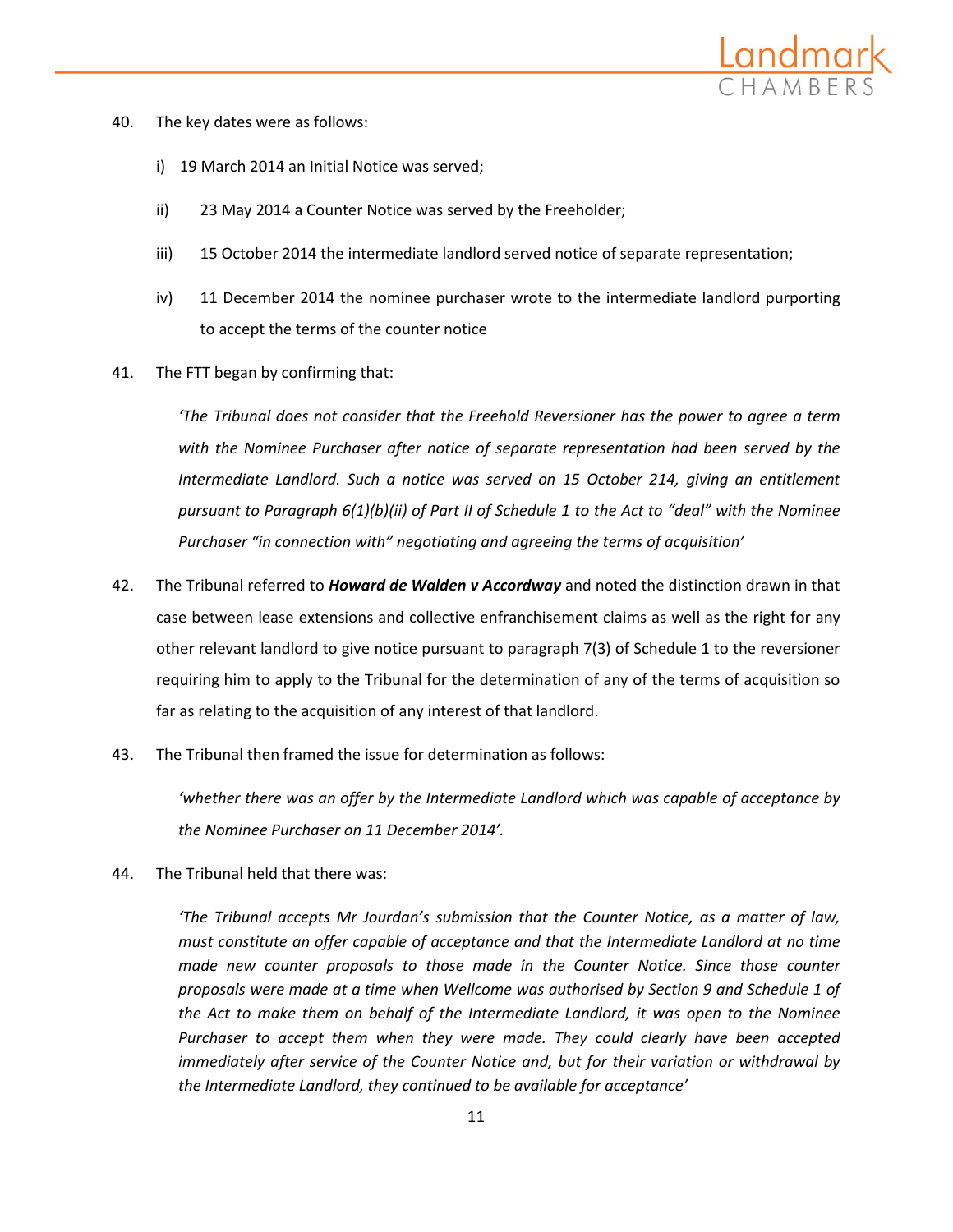

- 40. The key dates were as follows:
	- i) 19 March 2014 an Initial Notice was served;
	- ii) 23 May 2014 a Counter Notice was served by the Freeholder;
	- iii) 15 October 2014 the intermediate landlord served notice of separate representation;
	- iv) 11 December 2014 the nominee purchaser wrote to the intermediate landlord purporting to accept the terms of the counter notice
- 41. The FTT began by confirming that:

*'The Tribunal does not consider that the Freehold Reversioner has the power to agree a term with the Nominee Purchaser after notice of separate representation had been served by the Intermediate Landlord. Such a notice was served on 15 October 214, giving an entitlement pursuant to Paragraph 6(1)(b)(ii) of Part II of Schedule 1 to the Act to "deal" with the Nominee Purchaser "in connection with" negotiating and agreeing the terms of acquisition'*

- 42. The Tribunal referred to *Howard de Walden v Accordway* and noted the distinction drawn in that case between lease extensions and collective enfranchisement claims as well as the right for any other relevant landlord to give notice pursuant to paragraph 7(3) of Schedule 1 to the reversioner requiring him to apply to the Tribunal for the determination of any of the terms of acquisition so far as relating to the acquisition of any interest of that landlord.
- 43. The Tribunal then framed the issue for determination as follows:

*'whether there was an offer by the Intermediate Landlord which was capable of acceptance by the Nominee Purchaser on 11 December 2014'.* 

44. The Tribunal held that there was:

*'The Tribunal accepts Mr Jourdan's submission that the Counter Notice, as a matter of law, must constitute an offer capable of acceptance and that the Intermediate Landlord at no time made new counter proposals to those made in the Counter Notice. Since those counter proposals were made at a time when Wellcome was authorised by Section 9 and Schedule 1 of the Act to make them on behalf of the Intermediate Landlord, it was open to the Nominee Purchaser to accept them when they were made. They could clearly have been accepted immediately after service of the Counter Notice and, but for their variation or withdrawal by the Intermediate Landlord, they continued to be available for acceptance'*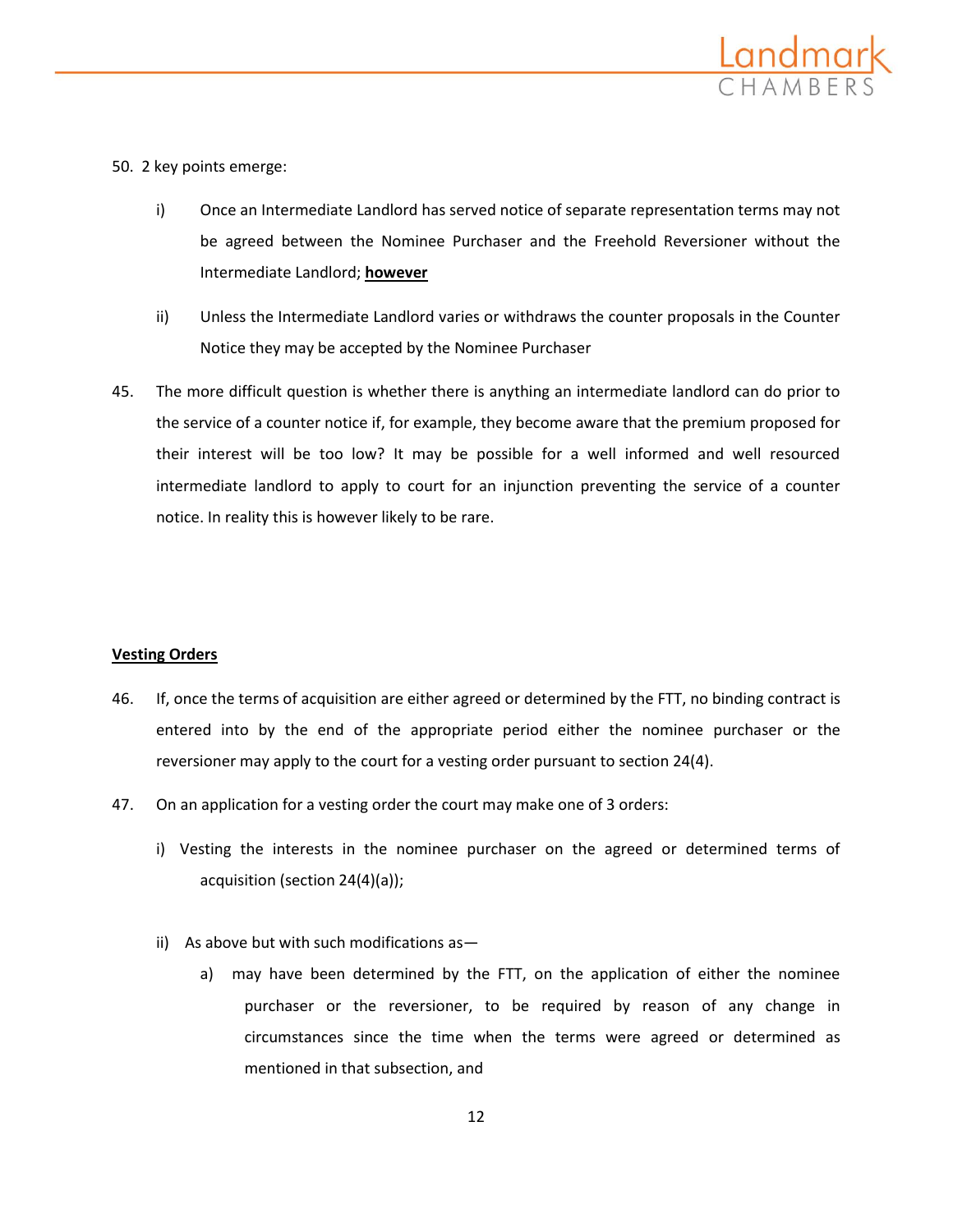

## 50. 2 key points emerge:

- i) Once an Intermediate Landlord has served notice of separate representation terms may not be agreed between the Nominee Purchaser and the Freehold Reversioner without the Intermediate Landlord; **however**
- ii) Unless the Intermediate Landlord varies or withdraws the counter proposals in the Counter Notice they may be accepted by the Nominee Purchaser
- 45. The more difficult question is whether there is anything an intermediate landlord can do prior to the service of a counter notice if, for example, they become aware that the premium proposed for their interest will be too low? It may be possible for a well informed and well resourced intermediate landlord to apply to court for an injunction preventing the service of a counter notice. In reality this is however likely to be rare.

## **Vesting Orders**

- 46. If, once the terms of acquisition are either agreed or determined by the FTT, no binding contract is entered into by the end of the appropriate period either the nominee purchaser or the reversioner may apply to the court for a vesting order pursuant to section 24(4).
- 47. On an application for a vesting order the court may make one of 3 orders:
	- i) Vesting the interests in the nominee purchaser on the agreed or determined terms of acquisition (section 24(4)(a));
	- ii) As above but with such modifications as
		- a) may have been determined by the FTT, on the application of either the nominee purchaser or the reversioner, to be required by reason of any change in circumstances since the time when the terms were agreed or determined as mentioned in that subsection, and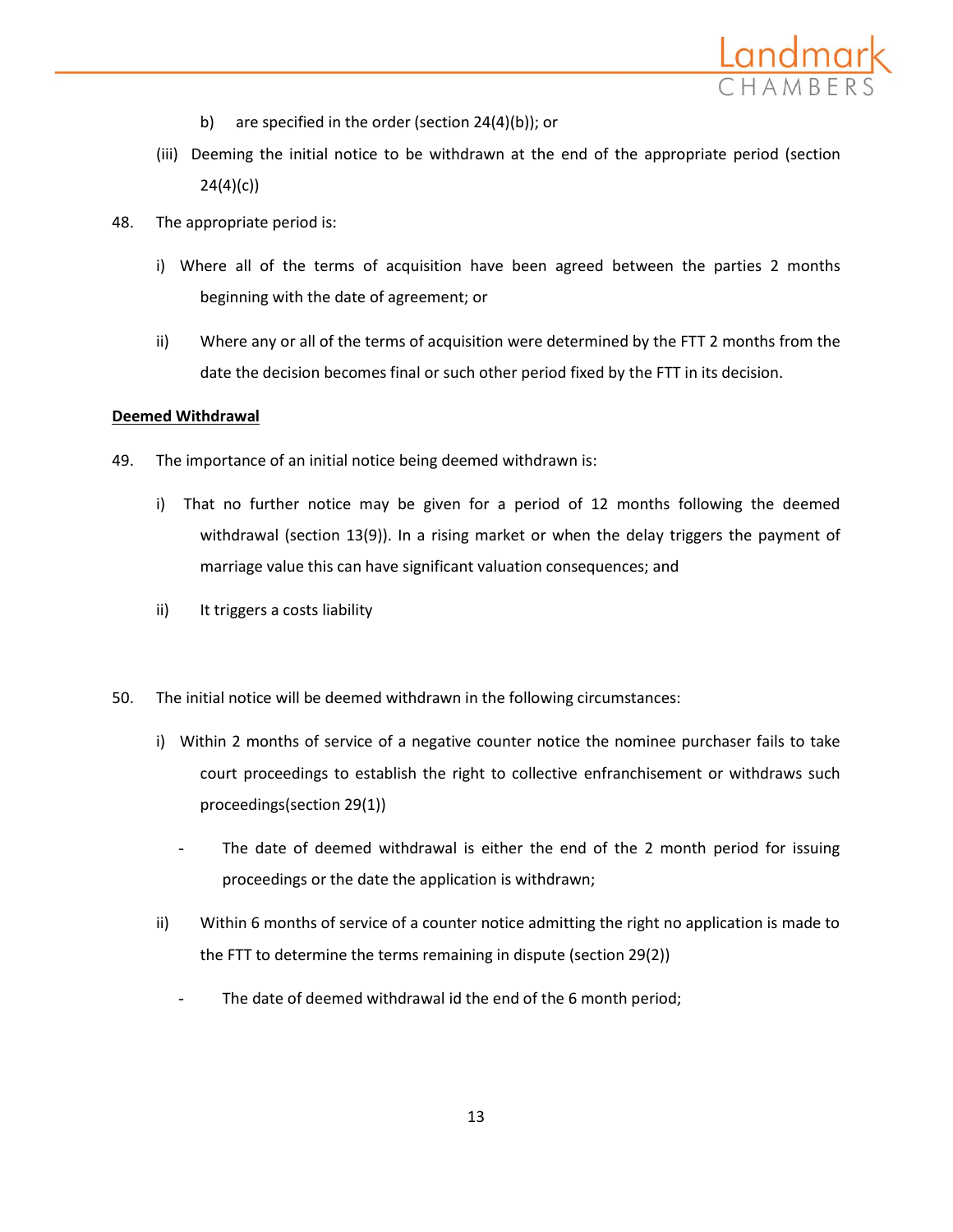

- b) are specified in the order (section 24(4)(b)); or
- (iii) Deeming the initial notice to be withdrawn at the end of the appropriate period (section 24(4)(c))
- 48. The appropriate period is:
	- i) Where all of the terms of acquisition have been agreed between the parties 2 months beginning with the date of agreement; or
	- ii) Where any or all of the terms of acquisition were determined by the FTT 2 months from the date the decision becomes final or such other period fixed by the FTT in its decision.

## **Deemed Withdrawal**

- 49. The importance of an initial notice being deemed withdrawn is:
	- i) That no further notice may be given for a period of 12 months following the deemed withdrawal (section 13(9)). In a rising market or when the delay triggers the payment of marriage value this can have significant valuation consequences; and
	- ii) It triggers a costs liability
- 50. The initial notice will be deemed withdrawn in the following circumstances:
	- i) Within 2 months of service of a negative counter notice the nominee purchaser fails to take court proceedings to establish the right to collective enfranchisement or withdraws such proceedings(section 29(1))
		- The date of deemed withdrawal is either the end of the 2 month period for issuing proceedings or the date the application is withdrawn;
	- ii) Within 6 months of service of a counter notice admitting the right no application is made to the FTT to determine the terms remaining in dispute (section 29(2))
		- The date of deemed withdrawal id the end of the 6 month period;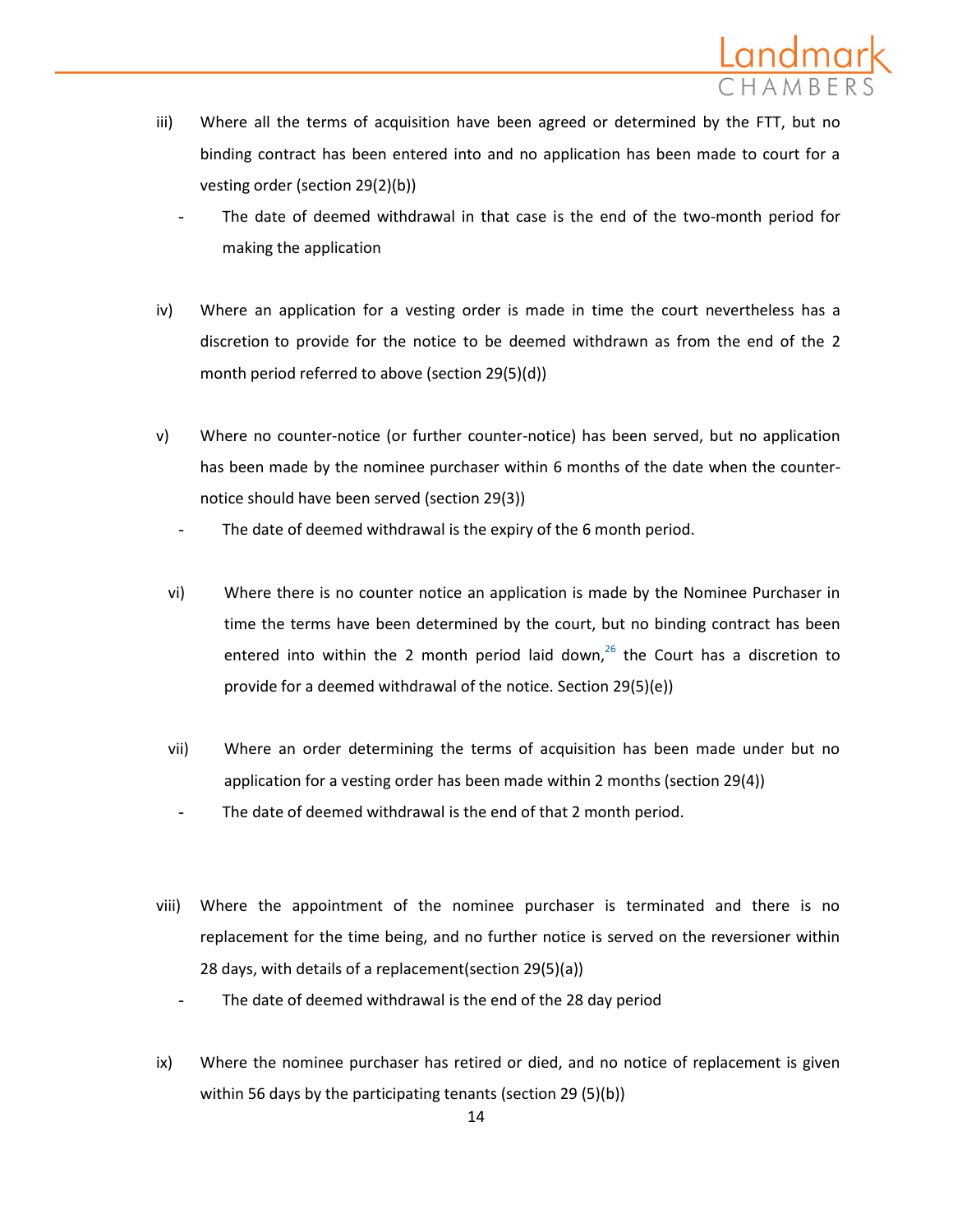- iii) Where all the terms of acquisition have been agreed or determined by the FTT, but no binding contract has been entered into and no application has been made to court for a vesting order (section 29(2)(b))
	- The date of deemed withdrawal in that case is the end of the two-month period for making the application
- iv) Where an application for a vesting order is made in time the court nevertheless has a discretion to provide for the notice to be deemed withdrawn as from the end of the 2 month period referred to above (section 29(5)(d))
- v) Where no counter-notice (or further counter-notice) has been served, but no application has been made by the nominee purchaser within 6 months of the date when the counternotice should have been served (section 29(3))
	- The date of deemed withdrawal is the expiry of the 6 month period.
	- vi) Where there is no counter notice an application is made by the Nominee Purchaser in time the terms have been determined by the court, but no binding contract has been entered into within the 2 month period laid down,<sup>[26](http://login.westlaw.co.uk/maf/wluk/app/document?src=doc&linktype=ref&context=24&crumb-action=replace&docguid=I74584582B6B611E0B098CFFBCE9CECE6#fnHLE_CH28_28-04.fn26)</sup> the Court has a discretion to provide for a deemed withdrawal of the notice. Section 29(5)(e))
	- vii) Where an order determining the terms of acquisition has been made under but no application for a vesting order has been made within 2 months (section 29(4))
		- The date of deemed withdrawal is the end of that 2 month period.
- viii) Where the appointment of the nominee purchaser is terminated and there is no replacement for the time being, and no further notice is served on the reversioner within 28 days, with details of a replacement(section 29(5)(a))
	- The date of deemed withdrawal is the end of the 28 day period
- ix) Where the nominee purchaser has retired or died, and no notice of replacement is given within 56 days by the participating tenants (section 29 (5)(b))